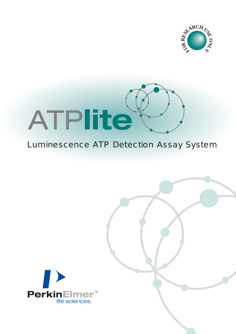



#### Luminescence ATP Detection Assay System

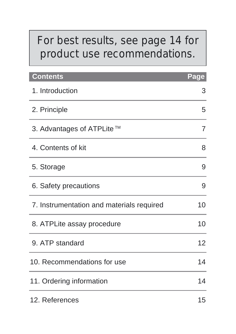# *For best results, see page 14 for product use recommendations.*

| Contents                                  | Page |
|-------------------------------------------|------|
| 1. Introduction                           | 3    |
| 2. Principle                              | 5    |
| 3. Advantages of ATPLite™                 | 7    |
| 4. Contents of kit                        | 8    |
| 5. Storage                                | 9    |
| 6. Safety precautions                     | 9    |
| 7. Instrumentation and materials required | 10   |
| 8. ATPLite assay procedure                | 10   |
| 9. ATP standard                           | 12   |
| 10. Recommendations for use               | 14   |
| 11. Ordering information                  | 14   |
| 12. References                            | 15   |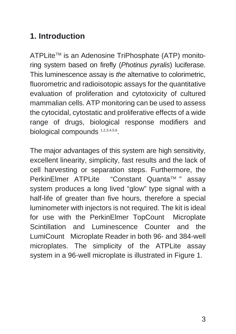#### **1. Introduction**

ATPLiteTM is an Adenosine TriPhosphate (ATP) monitoring system based on firefly (Photinus pyralis) luciferase. This luminescence assay is *the* alternative to colorimetric, fluorometric and radioisotopic assays for the quantitative evaluation of proliferation and cytotoxicity of cultured mammalian cells. ATP monitoring can be used to assess the cytocidal, cytostatic and proliferative effects of a wide range of drugs, biological response modifiers and biological compounds 1,2,3,4,5,6.

The major advantages of this system are high sensitivity, excellent linearity, simplicity, fast results and the lack of cell harvesting or separation steps. Furthermore, the PerkinElmer ATPLite "Constant Quanta™ " assav system produces a long lived "glow" type signal with a half-life of greater than five hours, therefore a special luminometer with injectors is not required. The kit is ideal for use with the PerkinElmer TopCount<sup>®</sup> Microplate Scintillation and Luminescence Counter and the LumiCount<sup>®</sup> Microplate Reader in both 96- and 384-well microplates. The simplicity of the ATPLite assay system in a 96-well microplate is illustrated in Figure 1.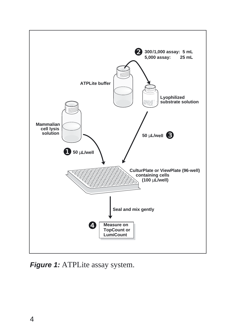

**Figure 1:** ATPLite assay system.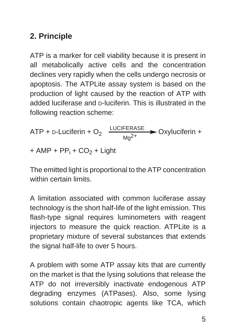#### **2. Principle**

ATP is a marker for cell viability because it is present in all metabolically active cells and the concentration declines very rapidly when the cells undergo necrosis or apoptosis. The ATPLite assay system is based on the production of light caused by the reaction of ATP with added luciferase and D-luciferin. This is illustrated in the following reaction scheme:

ATP + D-Luciferin + O<sub>2</sub> 
$$
\xrightarrow{\text{LUCIFERASE}} \text{Oxyluciferin} + \text{AMP} + \text{PP}_i + \text{CO}_2 + \text{Light}
$$

The emitted light is proportional to the ATP concentration within certain limits.

A limitation associated with common luciferase assay technology is the short half-life of the light emission. This flash-type signal requires luminometers with reagent injectors to measure the quick reaction. ATPLite is a proprietary mixture of several substances that extends the signal half-life to over 5 hours.

A problem with some ATP assay kits that are currently on the market is that the lysing solutions that release the ATP do not irreversibly inactivate endogenous ATP degrading enzymes (ATPases). Also, some lysing solutions contain chaotropic agents like TCA, which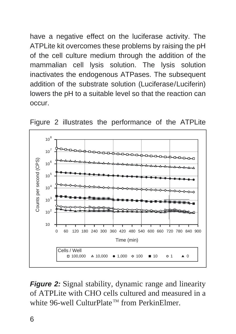have a negative effect on the luciferase activity. The ATPLite kit overcomes these problems by raising the pH of the cell culture medium through the addition of the mammalian cell lysis solution. The lysis solution inactivates the endogenous ATPases. The subsequent addition of the substrate solution (Luciferase/Luciferin) lowers the pH to a suitable level so that the reaction can occur.





**Figure 2:** Signal stability, dynamic range and linearity of ATPLite with CHO cells cultured and measured in a white 96-well CulturPlate<sup>™</sup> from PerkinElmer.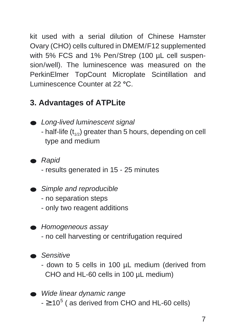kit used with a serial dilution of Chinese Hamster Ovary (CHO) cells cultured in DMEM/F12 supplemented with 5% FCS and 1% Pen/Strep (100 µL cell suspension/well). The luminescence was measured on the PerkinElmer TopCount Microplate Scintillation and Luminescence Counter at 22 **°**C.

#### **3. Advantages of ATPLite**

- Long-lived luminescent signal - half-life  $(t_{1/2})$  greater than 5 hours, depending on cell type and medium
- Rapid
	- results generated in 15 25 minutes
- Simple and reproducible
	- no separation steps
	- only two reagent additions
- Homogeneous assay
	- no cell harvesting or centrifugation required
- Sensitive
	- down to 5 cells in 100 µL medium (derived from CHO and HL-60 cells in 100 µL medium)
- Wide linear dynamic range  $- \ge 10^5$  ( as derived from CHO and HL-60 cells)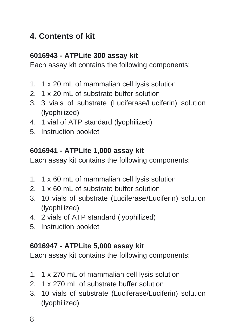#### **4. Contents of kit**

#### **6016943 - ATPLite 300 assay kit**

Each assay kit contains the following components:

- 1. 1 x 20 mL of mammalian cell lysis solution
- 2. 1 x 20 mL of substrate buffer solution
- 3. 3 vials of substrate (Luciferase/Luciferin) solution (lyophilized)
- 4. 1 vial of ATP standard (lyophilized)
- 5. Instruction booklet

#### **6016941 - ATPLite 1,000 assay kit**

Each assay kit contains the following components:

- 1. 1 x 60 mL of mammalian cell lysis solution
- 2. 1 x 60 mL of substrate buffer solution
- 3. 10 vials of substrate (Luciferase/Luciferin) solution (lyophilized)
- 4. 2 vials of ATP standard (lyophilized)
- 5. Instruction booklet

#### **6016947 - ATPLite 5,000 assay kit**

Each assay kit contains the following components:

- 1. 1 x 270 mL of mammalian cell lysis solution
- 2. 1 x 270 mL of substrate buffer solution
- 3. 10 vials of substrate (Luciferase/Luciferin) solution (lyophilized)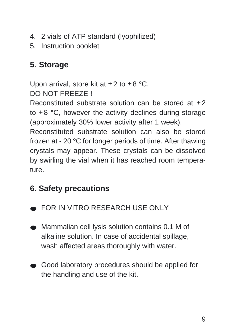- 4. 2 vials of ATP standard (lyophilized)
- 5. Instruction booklet

#### **5**. **Storage**

Upon arrival, store kit at +2 to +8 **°**C. DO NOT FREEZE !

Reconstituted substrate solution can be stored at +2 to +8 **°**C, however the activity declines during storage (approximately 30% lower activity after 1 week).

Reconstituted substrate solution can also be stored frozen at - 20 **°**C for longer periods of time. After thawing crystals may appear. These crystals can be dissolved by swirling the vial when it has reached room temperature.

## **6. Safety precautions**

- FOR IN VITRO RESEARCH USE ONLY
- Mammalian cell lysis solution contains 0.1 M of alkaline solution. In case of accidental spillage, wash affected areas thoroughly with water.
- Good laboratory procedures should be applied for the handling and use of the kit.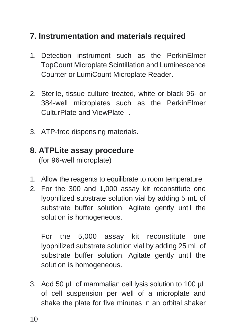#### **7. Instrumentation and materials required**

- 1. Detection instrument such as the PerkinElmer TopCount Microplate Scintillation and Luminescence Counter or LumiCount Microplate Reader.
- 2. Sterile, tissue culture treated, white or black 96- or 384-well microplates such as the PerkinElmer CulturPlate and ViewPlate®.
- 3. ATP-free dispensing materials.

#### **8. ATPLite assay procedure**

(for 96-well microplate)

- 1. Allow the reagents to equilibrate to room temperature.
- 2. For the 300 and 1,000 assay kit reconstitute one lyophilized substrate solution vial by adding 5 mL of substrate buffer solution. Agitate gently until the solution is homogeneous.

For the 5,000 assay kit reconstitute one lyophilized substrate solution vial by adding 25 mL of substrate buffer solution. Agitate gently until the solution is homogeneous.

3. Add 50 µL of mammalian cell lysis solution to 100 µL of cell suspension per well of a microplate and shake the plate for five minutes in an orbital shaker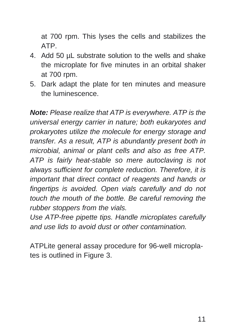at 700 rpm. This lyses the cells and stabilizes the ATP.

- 4. Add 50 µL substrate solution to the wells and shake the microplate for five minutes in an orbital shaker at 700 rpm.
- 5. Dark adapt the plate for ten minutes and measure the luminescence.

**Note:** Please realize that ATP is everywhere. ATP is the universal energy carrier in nature; both eukaryotes and prokaryotes utilize the molecule for energy storage and transfer. As a result, ATP is abundantly present both in microbial, animal or plant cells and also as free ATP. ATP is fairly heat-stable so mere autoclaving is not always sufficient for complete reduction. Therefore, it is important that direct contact of reagents and hands or fingertips is avoided. Open vials carefully and do not touch the mouth of the bottle. Be careful removing the rubber stoppers from the vials.

Use ATP-free pipette tips. Handle microplates carefully and use lids to avoid dust or other contamination.

ATPLite general assay procedure for 96-well microplates is outlined in Figure 3.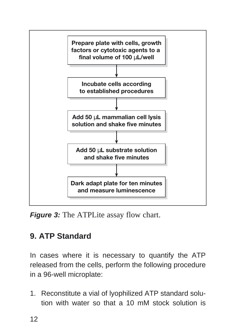

**Figure 3:** The ATPLite assay flow chart.

## **9. ATP Standard**

In cases where it is necessary to quantify the ATP released from the cells, perform the following procedure in a 96-well microplate:

1. Reconstitute a vial of lyophilized ATP standard solution with water so that a 10 mM stock solution is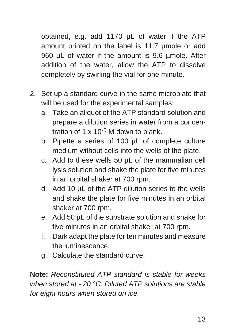obtained, e.g. add 1170 µL of water if the ATP amount printed on the label is 11.7 µmole or add 960 uL of water if the amount is 9.6 umole. After addition of the water, allow the ATP to dissolve completely by swirling the vial for one minute.

- 2. Set up a standard curve in the same microplate that will be used for the experimental samples:
	- a. Take an aliquot of the ATP standard solution and prepare a dilution series in water from a concentration of 1 x 10-5 M down to blank.
	- b. Pipette a series of 100 µL of complete culture medium without cells into the wells of the plate.
	- c. Add to these wells 50 µL of the mammalian cell lysis solution and shake the plate for five minutes in an orbital shaker at 700 rpm.
	- d. Add 10 µL of the ATP dilution series to the wells and shake the plate for five minutes in an orbital shaker at 700 rpm.
	- e. Add 50 µL of the substrate solution and shake for five minutes in an orbital shaker at 700 rpm.
	- f. Dark adapt the plate for ten minutes and measure the luminescence.
	- g. Calculate the standard curve.

**Note:** Reconstituted ATP standard is stable for weeks when stored at - 20 °C. Diluted ATP solutions are stable for eight hours when stored on ice.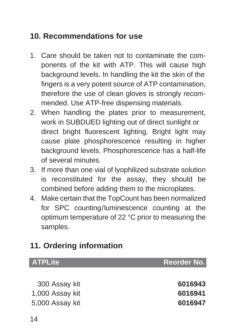#### **10. Recommendations for use**

- 1. Care should be taken not to contaminate the components of the kit with ATP. This will cause high background levels. In handling the kit the skin of the fingers is a very potent source of ATP contamination, therefore the use of clean gloves is strongly recommended. Use ATP-free dispensing materials.
- 2. When handling the plates prior to measurement, work in SUBDUED lighting out of direct sunlight or direct bright fluorescent lighting. Bright light may cause plate phosphorescence resulting in higher background levels. Phosphorescence has a half-life of several minutes.
- 3. If more than one vial of lyophilized substrate solution is reconstituted for the assay, they should be combined before adding them to the microplates.
- 4. Make certain that the TopCount has been normalized for SPC counting/luminescence counting at the optimum temperature of 22 °C prior to measuring the samples.

## **11. Ordering information**

| Reorder No. |
|-------------|
|             |
| 6016943     |
| 6016941     |
| 6016947     |
|             |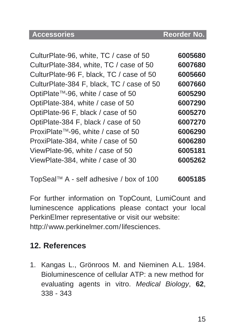#### **Accessories Reorder No.**

| CulturPlate-96, white, TC / case of 50    | 6005680 |
|-------------------------------------------|---------|
| CulturPlate-384, white, TC / case of 50   | 6007680 |
| CulturPlate-96 F, black, TC / case of 50  | 6005660 |
| CulturPlate-384 F, black, TC / case of 50 | 6007660 |
| OptiPlate™-96, white / case of 50         | 6005290 |
| OptiPlate-384, white / case of 50         | 6007290 |
| OptiPlate-96 F, black / case of 50        | 6005270 |
| OptiPlate-384 F, black / case of 50       | 6007270 |
| ProxiPlate™-96, white / case of 50        | 6006290 |
| ProxiPlate-384, white / case of 50        | 6006280 |
| ViewPlate-96, white / case of 50          | 6005181 |
| ViewPlate-384, white / case of 30         | 6005262 |
|                                           |         |

TopSealTM A - self adhesive / box of 100 **6005185**

For further information on TopCount, LumiCount and luminescence applications please contact your local PerkinElmer representative or visit our website: http://www.perkinelmer.com/lifesciences.

#### **12. References**

1. Kangas L., Grönroos M. and Nieminen A.L. 1984. Bioluminescence of cellular ATP: a new method for evaluating agents in vitro. Medical Biology, **62**, 338 - 343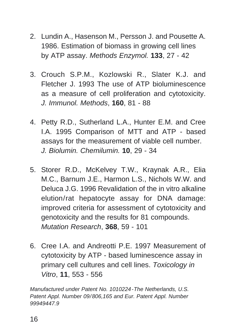- 2. Lundin A., Hasenson M., Persson J. and Pousette A. 1986. Estimation of biomass in growing cell lines by ATP assay. Methods Enzymol. **133**, 27 - 42
- 3. Crouch S.P.M., Kozlowski R., Slater K.J. and Fletcher J. 1993 The use of ATP bioluminescence as a measure of cell proliferation and cytotoxicity. J. Immunol. Methods, **160**, 81 - 88
- 4. Petty R.D., Sutherland L.A., Hunter E.M. and Cree I.A. 1995 Comparison of MTT and ATP - based assays for the measurement of viable cell number. J. Biolumin. Chemilumin. **10**, 29 - 34
- 5. Storer R.D., McKelvey T.W., Kraynak A.R., Elia M.C., Barnum J.E., Harmon L.S., Nichols W.W. and Deluca J.G. 1996 Revalidation of the in vitro alkaline elution/rat hepatocyte assay for DNA damage: improved criteria for assessment of cytotoxicity and genotoxicity and the results for 81 compounds. Mutation Research, **368**, 59 - 101
- 6. Cree I.A. and Andreotti P.E. 1997 Measurement of cytotoxicity by ATP - based luminescence assay in primary cell cultures and cell lines. Toxicology in Vitro, **11**, 553 - 556

Manufactured under Patent No. 1010224-The Netherlands, U.S. Patent Appl. Number 09/806,165 and Eur. Patent Appl. Number 99949447.9